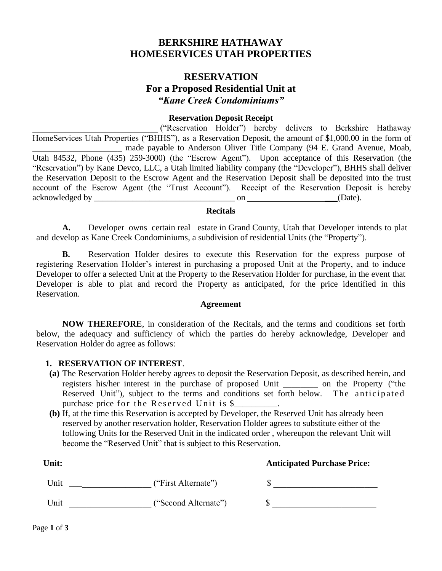# **BERKSHIRE HATHAWAY HOMESERVICES UTAH PROPERTIES**

# **RESERVATION For a Proposed Residential Unit at** *"Kane Creek Condominiums"*

#### **Reservation Deposit Receipt**

 ("Reservation Holder") hereby delivers to Berkshire Hathaway HomeServices Utah Properties ("BHHS"), as a Reservation Deposit, the amount of \$1,000.00 in the form of made payable to Anderson Oliver Title Company (94 E. Grand Avenue, Moab, Utah 84532, Phone (435) 259-3000) (the "Escrow Agent"). Upon acceptance of this Reservation (the "Reservation") by Kane Devco, LLC, a Utah limited liability company (the "Developer"), BHHS shall deliver the Reservation Deposit to the Escrow Agent and the Reservation Deposit shall be deposited into the trust account of the Escrow Agent (the "Trust Account"). Receipt of the Reservation Deposit is hereby acknowledged by  $\qquad \qquad \text{on} \qquad \qquad \text{(Date)}.$ 

### **Recitals**

**A.** Developer owns certain real estate in Grand County, Utah that Developer intends to plat and develop as Kane Creek Condominiums, a subdivision of residential Units (the "Property").

**B.** Reservation Holder desires to execute this Reservation for the express purpose of registering Reservation Holder's interest in purchasing a proposed Unit at the Property, and to induce Developer to offer a selected Unit at the Property to the Reservation Holder for purchase, in the event that Developer is able to plat and record the Property as anticipated, for the price identified in this Reservation.

#### **Agreement**

**NOW THEREFORE**, in consideration of the Recitals, and the terms and conditions set forth below, the adequacy and sufficiency of which the parties do hereby acknowledge, Developer and Reservation Holder do agree as follows:

#### **1. RESERVATION OF INTEREST**.

- **(a)** The Reservation Holder hereby agrees to deposit the Reservation Deposit, as described herein, and registers his/her interest in the purchase of proposed Unit \_\_\_\_\_\_\_\_ on the Property ("the Reserved Unit"), subject to the terms and conditions set forth below. The anticipated purchase price for the Reserved Unit is \$
- **(b)** If, at the time this Reservation is accepted by Developer, the Reserved Unit has already been reserved by another reservation holder, Reservation Holder agrees to substitute either of the following Units for the Reserved Unit in the indicated order , whereupon the relevant Unit will become the "Reserved Unit" that is subject to this Reservation.

| Unit: |                      | <b>Anticipated Purchase Price:</b> |
|-------|----------------------|------------------------------------|
| Unit  | ("First Alternate")  |                                    |
| Unit  | ("Second Alternate") |                                    |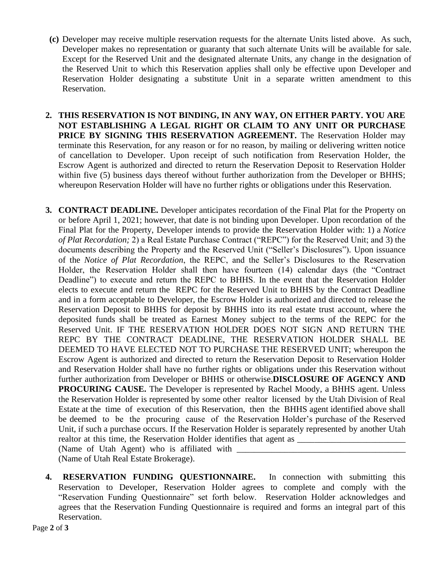- **(c)** Developer may receive multiple reservation requests for the alternate Units listed above. As such, Developer makes no representation or guaranty that such alternate Units will be available for sale. Except for the Reserved Unit and the designated alternate Units, any change in the designation of the Reserved Unit to which this Reservation applies shall only be effective upon Developer and Reservation Holder designating a substitute Unit in a separate written amendment to this Reservation.
- **2. THIS RESERVATION IS NOT BINDING, IN ANY WAY, ON EITHER PARTY. YOU ARE NOT ESTABLISHING A LEGAL RIGHT OR CLAIM TO ANY UNIT OR PURCHASE PRICE BY SIGNING THIS RESERVATION AGREEMENT.** The Reservation Holder may terminate this Reservation, for any reason or for no reason, by mailing or delivering written notice of cancellation to Developer. Upon receipt of such notification from Reservation Holder, the Escrow Agent is authorized and directed to return the Reservation Deposit to Reservation Holder within five (5) business days thereof without further authorization from the Developer or BHHS; whereupon Reservation Holder will have no further rights or obligations under this Reservation.
- **3. CONTRACT DEADLINE.** Developer anticipates recordation of the Final Plat for the Property on or before April 1, 2021; however, that date is not binding upon Developer. Upon recordation of the Final Plat for the Property, Developer intends to provide the Reservation Holder with: 1) a *Notice of Plat Recordation;* 2) a Real Estate Purchase Contract ("REPC") for the Reserved Unit; and 3) the documents describing the Property and the Reserved Unit ("Seller's Disclosures")*.* Upon issuance of the *Notice of Plat Recordation*, the REPC, and the Seller's Disclosures to the Reservation Holder, the Reservation Holder shall then have fourteen (14) calendar days (the "Contract Deadline") to execute and return the REPC to BHHS. In the event that the Reservation Holder elects to execute and return the REPC for the Reserved Unit to BHHS by the Contract Deadline and in a form acceptable to Developer, the Escrow Holder is authorized and directed to release the Reservation Deposit to BHHS for deposit by BHHS into its real estate trust account, where the deposited funds shall be treated as Earnest Money subject to the terms of the REPC for the Reserved Unit. IF THE RESERVATION HOLDER DOES NOT SIGN AND RETURN THE REPC BY THE CONTRACT DEADLINE, THE RESERVATION HOLDER SHALL BE DEEMED TO HAVE ELECTED NOT TO PURCHASE THE RESERVED UNIT; whereupon the Escrow Agent is authorized and directed to return the Reservation Deposit to Reservation Holder and Reservation Holder shall have no further rights or obligations under this Reservation without further authorization from Developer or BHHS or otherwise.**DISCLOSURE OF AGENCY AND PROCURING CAUSE.** The Developer is represented by Rachel Moody, a BHHS agent. Unless the Reservation Holder is represented by some other realtor licensed by the Utah Division of Real Estate at the time of execution of this Reservation, then the BHHS agent identified above shall be deemed to be the procuring cause of the Reservation Holder's purchase of the Reserved Unit, if such a purchase occurs. If the Reservation Holder is separately represented by another Utah realtor at this time, the Reservation Holder identifies that agent as (Name of Utah Agent) who is affiliated with

(Name of Utah Real Estate Brokerage).

**4. RESERVATION FUNDING QUESTIONNAIRE.** In connection with submitting this Reservation to Developer, Reservation Holder agrees to complete and comply with the "Reservation Funding Questionnaire" set forth below. Reservation Holder acknowledges and agrees that the Reservation Funding Questionnaire is required and forms an integral part of this Reservation.